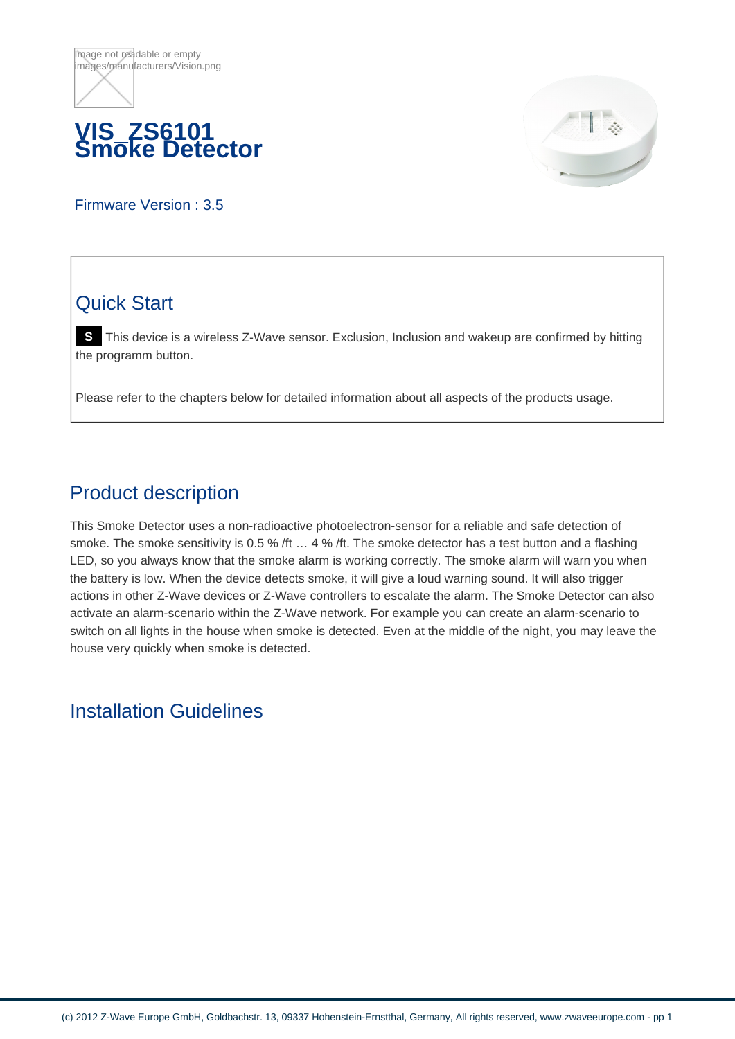



Firmware Version : 3.5

# Quick Start

**S** This device is a wireless Z-Wave sensor. Exclusion, Inclusion and wakeup are confirmed by hitting the programm button.

Please refer to the chapters below for detailed information about all aspects of the products usage.

### Product description

This Smoke Detector uses a non-radioactive photoelectron-sensor for a reliable and safe detection of smoke. The smoke sensitivity is 0.5 % /ft ... 4 % /ft. The smoke detector has a test button and a flashing LED, so you always know that the smoke alarm is working correctly. The smoke alarm will warn you when the battery is low. When the device detects smoke, it will give a loud warning sound. It will also trigger actions in other Z-Wave devices or Z-Wave controllers to escalate the alarm. The Smoke Detector can also activate an alarm-scenario within the Z-Wave network. For example you can create an alarm-scenario to switch on all lights in the house when smoke is detected. Even at the middle of the night, you may leave the house very quickly when smoke is detected.

#### Installation Guidelines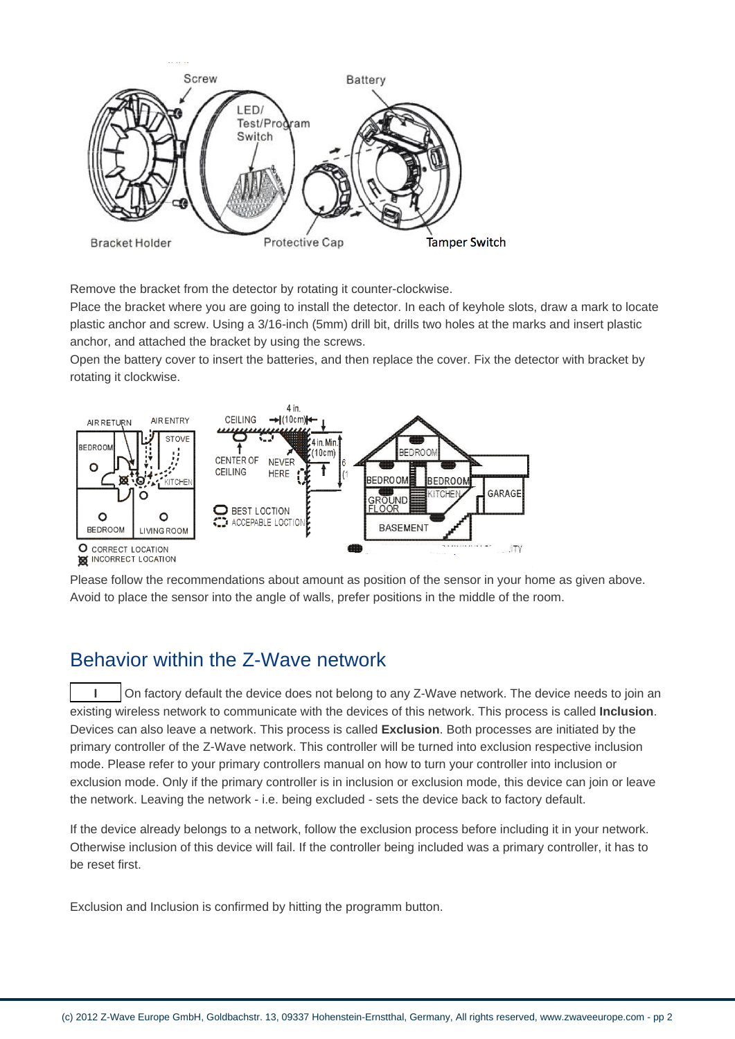

Remove the bracket from the detector by rotating it counter-clockwise.

Place the bracket where you are going to install the detector. In each of keyhole slots, draw a mark to locate plastic anchor and screw. Using a 3/16-inch (5mm) drill bit, drills two holes at the marks and insert plastic anchor, and attached the bracket by using the screws.

Open the battery cover to insert the batteries, and then replace the cover. Fix the detector with bracket by rotating it clockwise.



Please follow the recommendations about amount as position of the sensor in your home as given above. Avoid to place the sensor into the angle of walls, prefer positions in the middle of the room.

#### Behavior within the Z-Wave network

**I** On factory default the device does not belong to any Z-Wave network. The device needs to join an existing wireless network to communicate with the devices of this network. This process is called **Inclusion**. Devices can also leave a network. This process is called **Exclusion**. Both processes are initiated by the primary controller of the Z-Wave network. This controller will be turned into exclusion respective inclusion mode. Please refer to your primary controllers manual on how to turn your controller into inclusion or exclusion mode. Only if the primary controller is in inclusion or exclusion mode, this device can join or leave the network. Leaving the network - i.e. being excluded - sets the device back to factory default.

If the device already belongs to a network, follow the exclusion process before including it in your network. Otherwise inclusion of this device will fail. If the controller being included was a primary controller, it has to be reset first.

Exclusion and Inclusion is confirmed by hitting the programm button.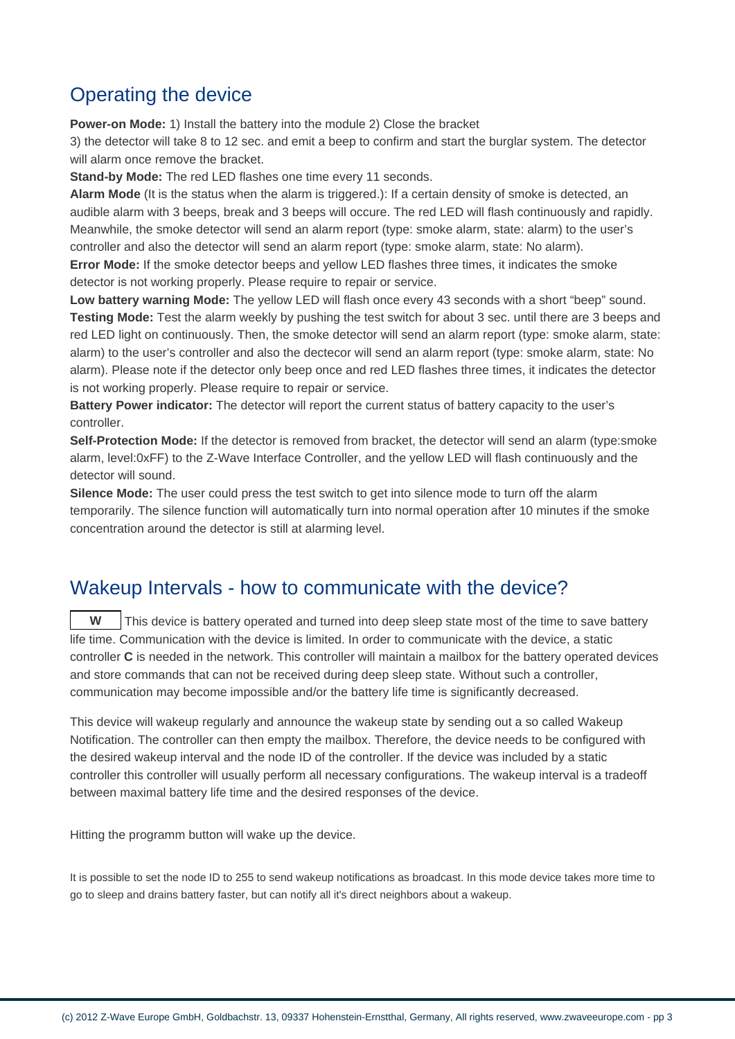#### Operating the device

**Power-on Mode:** 1) Install the battery into the module 2) Close the bracket

3) the detector will take 8 to 12 sec. and emit a beep to confirm and start the burglar system. The detector will alarm once remove the bracket.

**Stand-by Mode:** The red LED flashes one time every 11 seconds.

**Alarm Mode** (It is the status when the alarm is triggered.): If a certain density of smoke is detected, an audible alarm with 3 beeps, break and 3 beeps will occure. The red LED will flash continuously and rapidly. Meanwhile, the smoke detector will send an alarm report (type: smoke alarm, state: alarm) to the user's controller and also the detector will send an alarm report (type: smoke alarm, state: No alarm).

**Error Mode:** If the smoke detector beeps and yellow LED flashes three times, it indicates the smoke detector is not working properly. Please require to repair or service.

**Low battery warning Mode:** The yellow LED will flash once every 43 seconds with a short "beep" sound. **Testing Mode:** Test the alarm weekly by pushing the test switch for about 3 sec. until there are 3 beeps and red LED light on continuously. Then, the smoke detector will send an alarm report (type: smoke alarm, state: alarm) to the user's controller and also the dectecor will send an alarm report (type: smoke alarm, state: No alarm). Please note if the detector only beep once and red LED flashes three times, it indicates the detector is not working properly. Please require to repair or service.

**Battery Power indicator:** The detector will report the current status of battery capacity to the user's controller.

**Self-Protection Mode:** If the detector is removed from bracket, the detector will send an alarm (type:smoke alarm, level:0xFF) to the Z-Wave Interface Controller, and the yellow LED will flash continuously and the detector will sound.

**Silence Mode:** The user could press the test switch to get into silence mode to turn off the alarm temporarily. The silence function will automatically turn into normal operation after 10 minutes if the smoke concentration around the detector is still at alarming level.

#### Wakeup Intervals - how to communicate with the device?

**W** This device is battery operated and turned into deep sleep state most of the time to save battery life time. Communication with the device is limited. In order to communicate with the device, a static controller **C** is needed in the network. This controller will maintain a mailbox for the battery operated devices and store commands that can not be received during deep sleep state. Without such a controller, communication may become impossible and/or the battery life time is significantly decreased.

This device will wakeup regularly and announce the wakeup state by sending out a so called Wakeup Notification. The controller can then empty the mailbox. Therefore, the device needs to be configured with the desired wakeup interval and the node ID of the controller. If the device was included by a static controller this controller will usually perform all necessary configurations. The wakeup interval is a tradeoff between maximal battery life time and the desired responses of the device.

Hitting the programm button will wake up the device.

It is possible to set the node ID to 255 to send wakeup notifications as broadcast. In this mode device takes more time to go to sleep and drains battery faster, but can notify all it's direct neighbors about a wakeup.